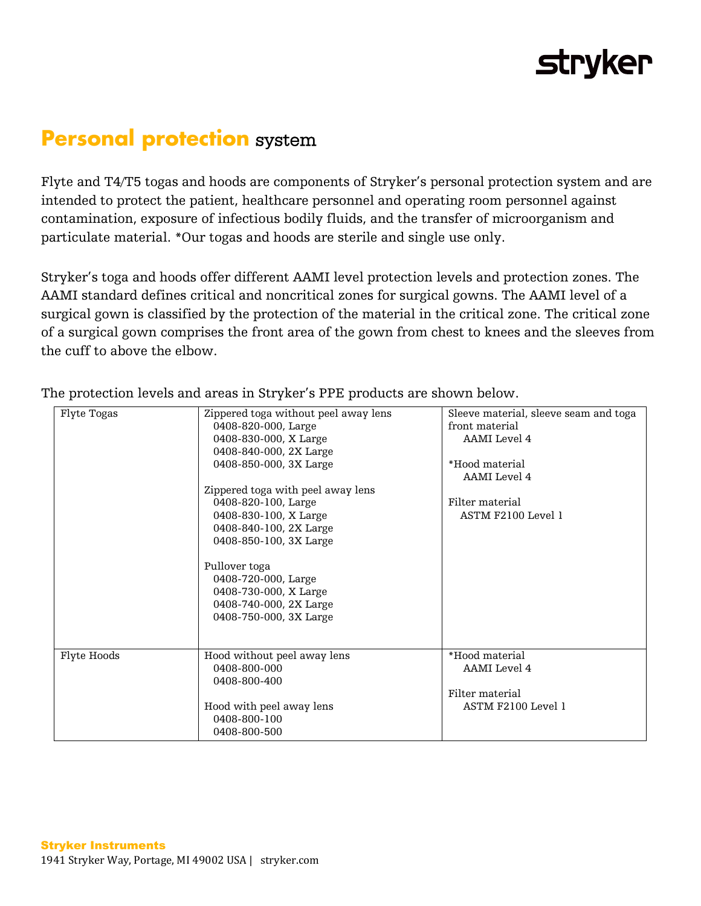## **stryker**

## **Personal protection** system

Flyte and T4/T5 togas and hoods are components of Stryker's personal protection system and are intended to protect the patient, healthcare personnel and operating room personnel against contamination, exposure of infectious bodily fluids, and the transfer of microorganism and particulate material. \*Our togas and hoods are sterile and single use only.

Stryker's toga and hoods offer different AAMI level protection levels and protection zones. The AAMI standard defines critical and noncritical zones for surgical gowns. The AAMI level of a surgical gown is classified by the protection of the material in the critical zone. The critical zone of a surgical gown comprises the front area of the gown from chest to knees and the sleeves from the cuff to above the elbow.

| Flyte Togas | Zippered toga without peel away lens<br>0408-820-000, Large<br>0408-830-000, X Large<br>0408-840-000, 2X Large<br>0408-850-000, 3X Large<br>Zippered toga with peel away lens | Sleeve material, sleeve seam and toga<br>front material<br>AAMI Level 4<br>*Hood material<br>AAMI Level 4 |
|-------------|-------------------------------------------------------------------------------------------------------------------------------------------------------------------------------|-----------------------------------------------------------------------------------------------------------|
|             | 0408-820-100, Large<br>0408-830-100, X Large<br>0408-840-100, 2X Large<br>0408-850-100, 3X Large<br>Pullover toga                                                             | Filter material<br>ASTM F2100 Level 1                                                                     |
|             | 0408-720-000, Large<br>0408-730-000, X Large<br>0408-740-000, 2X Large<br>0408-750-000, 3X Large                                                                              |                                                                                                           |
| Flyte Hoods | Hood without peel away lens<br>0408-800-000<br>0408-800-400                                                                                                                   | *Hood material<br>AAMI Level 4                                                                            |
|             | Hood with peel away lens<br>0408-800-100<br>0408-800-500                                                                                                                      | Filter material<br>ASTM F2100 Level 1                                                                     |

The protection levels and areas in Stryker's PPE products are shown below.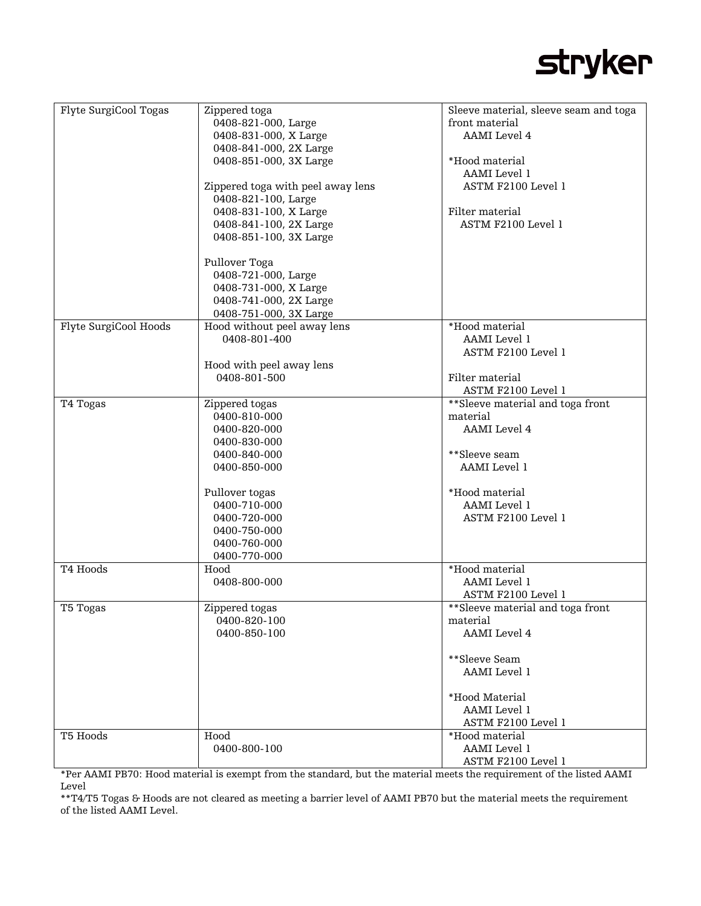## **stryker**

| Flyte SurgiCool Togas | Zippered toga                     | Sleeve material, sleeve seam and toga |
|-----------------------|-----------------------------------|---------------------------------------|
|                       | 0408-821-000, Large               | front material                        |
|                       | 0408-831-000, X Large             | <b>AAMI</b> Level 4                   |
|                       | 0408-841-000, 2X Large            |                                       |
|                       | 0408-851-000, 3X Large            | *Hood material                        |
|                       |                                   |                                       |
|                       |                                   | AAMI Level 1                          |
|                       | Zippered toga with peel away lens | ASTM F2100 Level 1                    |
|                       | 0408-821-100, Large               |                                       |
|                       | 0408-831-100, X Large             | Filter material                       |
|                       | 0408-841-100, 2X Large            | ASTM F2100 Level 1                    |
|                       | 0408-851-100, 3X Large            |                                       |
|                       |                                   |                                       |
|                       |                                   |                                       |
|                       | Pullover Toga                     |                                       |
|                       | 0408-721-000, Large               |                                       |
|                       | 0408-731-000, X Large             |                                       |
|                       | 0408-741-000, 2X Large            |                                       |
|                       | 0408-751-000, 3X Large            |                                       |
| Flyte SurgiCool Hoods | Hood without peel away lens       | *Hood material                        |
|                       | 0408-801-400                      | AAMI Level 1                          |
|                       |                                   | ASTM F2100 Level 1                    |
|                       |                                   |                                       |
|                       | Hood with peel away lens          |                                       |
|                       | 0408-801-500                      | Filter material                       |
|                       |                                   | ASTM F2100 Level 1                    |
| T4 Togas              | Zippered togas                    | **Sleeve material and toga front      |
|                       | 0400-810-000                      | material                              |
|                       | 0400-820-000                      | <b>AAMI</b> Level 4                   |
|                       | 0400-830-000                      |                                       |
|                       |                                   |                                       |
|                       | 0400-840-000                      | **Sleeve seam                         |
|                       | 0400-850-000                      | AAMI Level 1                          |
|                       |                                   |                                       |
|                       | Pullover togas                    | *Hood material                        |
|                       | 0400-710-000                      | AAMI Level 1                          |
|                       | 0400-720-000                      | ASTM F2100 Level 1                    |
|                       | 0400-750-000                      |                                       |
|                       | 0400-760-000                      |                                       |
|                       |                                   |                                       |
|                       | 0400-770-000                      |                                       |
| T4 Hoods              | Hood                              | *Hood material                        |
|                       | 0408-800-000                      | AAMI Level 1                          |
|                       |                                   | ASTM F2100 Level 1                    |
| T5 Togas              | Zippered togas                    | **Sleeve material and toga front      |
|                       | 0400-820-100                      | material                              |
|                       | 0400-850-100                      | AAMI Level 4                          |
|                       |                                   |                                       |
|                       |                                   | **Sleeve Seam                         |
|                       |                                   | <b>AAMI</b> Level 1                   |
|                       |                                   |                                       |
|                       |                                   |                                       |
|                       |                                   | *Hood Material                        |
|                       |                                   | AAMI Level 1                          |
|                       |                                   | ASTM F2100 Level 1                    |
| T5 Hoods              | Hood                              | *Hood material                        |
|                       | 0400-800-100                      | AAMI Level 1                          |
|                       |                                   | ASTM F2100 Level 1                    |

\*Per AAMI PB70: Hood material is exempt from the standard, but the material meets the requirement of the listed AAMI Level

\*\*T4/T5 Togas & Hoods are not cleared as meeting a barrier level of AAMI PB70 but the material meets the requirement of the listed AAMI Level.